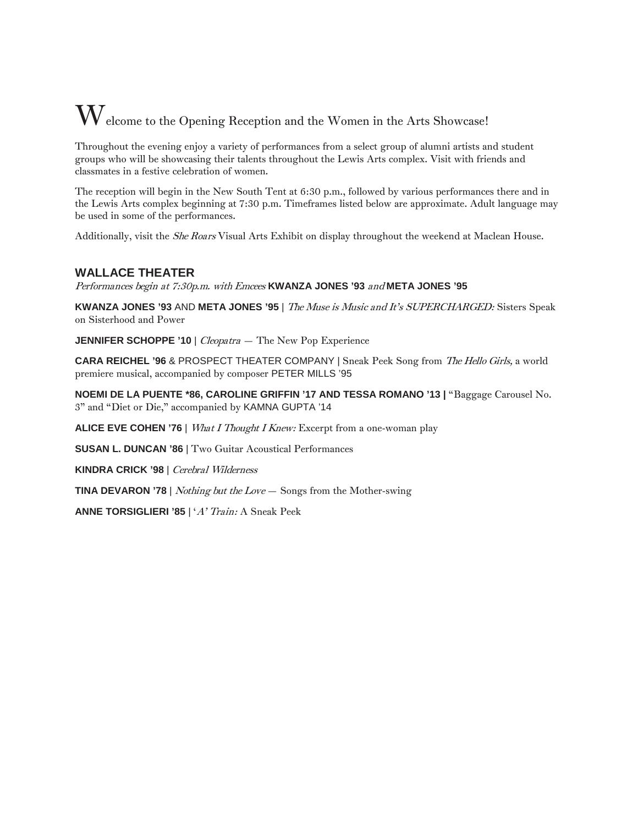# $\mathbf W$ elcome to the Opening Reception and the Women in the Arts Showcase!

Throughout the evening enjoy a variety of performances from a select group of alumni artists and student groups who will be showcasing their talents throughout the Lewis Arts complex. Visit with friends and classmates in a festive celebration of women.

The reception will begin in the New South Tent at 6:30 p.m., followed by various performances there and in the Lewis Arts complex beginning at 7:30 p.m. Timeframes listed below are approximate. Adult language may be used in some of the performances.

Additionally, visit the She Roars Visual Arts Exhibit on display throughout the weekend at Maclean House.

## **WALLACE THEATER**

Performances begin at 7:30p.m. with Emcees **KWANZA JONES '93** and **META JONES '95**

**KWANZA JONES '93** AND **META JONES '95** | The Muse is Music and It's SUPERCHARGED: Sisters Speak on Sisterhood and Power

**JENNIFER SCHOPPE '10** | *Cleopatra* - The New Pop Experience

**CARA REICHEL '96** & PROSPECT THEATER COMPANY | Sneak Peek Song from The Hello Girls, a world premiere musical, accompanied by composer PETER MILLS '95

**NOEMI DE LA PUENTE \*86, CAROLINE GRIFFIN '17 AND TESSA ROMANO '13 |** "Baggage Carousel No. 3" and "Diet or Die," accompanied by KAMNA GUPTA '14

**ALICE EVE COHEN '76** | What I Thought I Knew: Excerpt from a one-woman play

**SUSAN L. DUNCAN '86** | Two Guitar Acoustical Performances

**KINDRA CRICK '98** | Cerebral Wilderness

**TINA DEVARON '78** | Nothing but the Love — Songs from the Mother-swing

**ANNE TORSIGLIERI '85** | 'A' Train: A Sneak Peek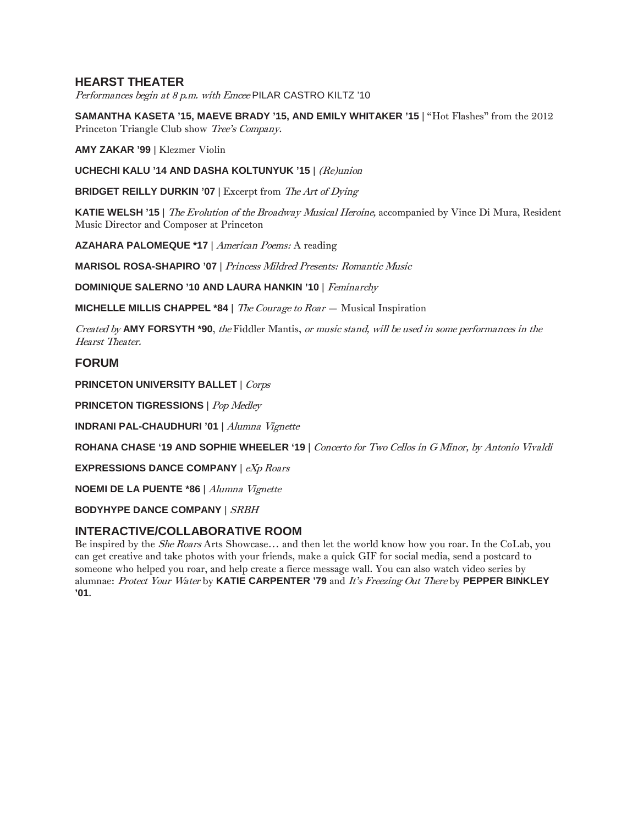## **HEARST THEATER**

Performances begin at 8 p.m. with Emcee PILAR CASTRO KILTZ '10

**SAMANTHA KASETA '15, MAEVE BRADY '15, AND EMILY WHITAKER '15** | "Hot Flashes" from the 2012 Princeton Triangle Club show Tree's Company.

**AMY ZAKAR '99** | Klezmer Violin

**UCHECHI KALU '14 AND DASHA KOLTUNYUK '15** | (Re)union

**BRIDGET REILLY DURKIN '07** | Excerpt from *The Art of Dying* 

**KATIE WELSH '15** | The Evolution of the Broadway Musical Heroine, accompanied by Vince Di Mura, Resident Music Director and Composer at Princeton

**AZAHARA PALOMEQUE \*17** | American Poems: A reading

**MARISOL ROSA-SHAPIRO '07** | Princess Mildred Presents: Romantic Music

**DOMINIQUE SALERNO '10 AND LAURA HANKIN '10** | Feminarchy

**MICHELLE MILLIS CHAPPEL \*84** | The Courage to Roar — Musical Inspiration

Created by **AMY FORSYTH \*90**, the Fiddler Mantis, or music stand, will be used in some performances in the Hearst Theater.

## **FORUM**

**PRINCETON UNIVERSITY BALLET** | Corps

**PRINCETON TIGRESSIONS** | Pop Medley

**INDRANI PAL-CHAUDHURI '01** | Alumna Vignette

**ROHANA CHASE '19 AND SOPHIE WHEELER '19** | Concerto for Two Cellos in G Minor, by Antonio Vivaldi

**EXPRESSIONS DANCE COMPANY** | eXp Roars

**NOEMI DE LA PUENTE \*86** | Alumna Vignette

**BODYHYPE DANCE COMPANY** | SRBH

#### **INTERACTIVE/COLLABORATIVE ROOM**

Be inspired by the She Roars Arts Showcase… and then let the world know how you roar. In the CoLab, you can get creative and take photos with your friends, make a quick GIF for social media, send a postcard to someone who helped you roar, and help create a fierce message wall. You can also watch video series by alumnae: Protect Your Water by **KATIE CARPENTER '79** and It's Freezing Out There by **PEPPER BINKLEY '01**.